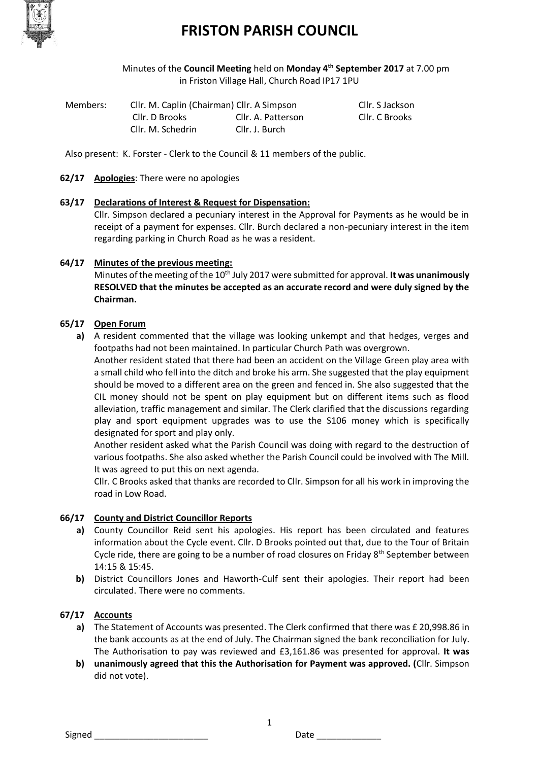

# **FRISTON PARISH COUNCIL**

Minutes of the **Council Meeting** held on **Monday 4th September 2017** at 7.00 pm in Friston Village Hall, Church Road IP17 1PU

| Members: | Cllr. M. Caplin (Chairman) Cllr. A Simpson |                    | Cllr. S Jackson |
|----------|--------------------------------------------|--------------------|-----------------|
|          | Cllr. D Brooks                             | Cllr. A. Patterson | Cllr. C Brooks  |
|          | Cllr. M. Schedrin                          | Cllr. J. Burch     |                 |

Also present: K. Forster - Clerk to the Council & 11 members of the public.

## **62/17 Apologies**: There were no apologies

# **63/17 Declarations of Interest & Request for Dispensation:**

Cllr. Simpson declared a pecuniary interest in the Approval for Payments as he would be in receipt of a payment for expenses. Cllr. Burch declared a non-pecuniary interest in the item regarding parking in Church Road as he was a resident.

## **64/17 Minutes of the previous meeting:**

Minutes of the meeting of the 10th July 2017 were submitted for approval. **It was unanimously RESOLVED that the minutes be accepted as an accurate record and were duly signed by the Chairman.**

## **65/17 Open Forum**

**a)** A resident commented that the village was looking unkempt and that hedges, verges and footpaths had not been maintained. In particular Church Path was overgrown.

Another resident stated that there had been an accident on the Village Green play area with a small child who fell into the ditch and broke his arm. She suggested that the play equipment should be moved to a different area on the green and fenced in. She also suggested that the CIL money should not be spent on play equipment but on different items such as flood alleviation, traffic management and similar. The Clerk clarified that the discussions regarding play and sport equipment upgrades was to use the S106 money which is specifically designated for sport and play only.

Another resident asked what the Parish Council was doing with regard to the destruction of various footpaths. She also asked whether the Parish Council could be involved with The Mill. It was agreed to put this on next agenda.

Cllr. C Brooks asked that thanks are recorded to Cllr. Simpson for all his work in improving the road in Low Road.

#### **66/17 County and District Councillor Reports**

- **a)** County Councillor Reid sent his apologies. His report has been circulated and features information about the Cycle event. Cllr. D Brooks pointed out that, due to the Tour of Britain Cycle ride, there are going to be a number of road closures on Friday 8<sup>th</sup> September between 14:15 & 15:45.
- **b)** District Councillors Jones and Haworth-Culf sent their apologies. Their report had been circulated. There were no comments.

# **67/17 Accounts**

- **a)** The Statement of Accounts was presented. The Clerk confirmed that there was £ 20,998.86 in the bank accounts as at the end of July. The Chairman signed the bank reconciliation for July. The Authorisation to pay was reviewed and £3,161.86 was presented for approval. **It was**
- **b) unanimously agreed that this the Authorisation for Payment was approved. (**Cllr. Simpson did not vote).

1

Signed **Example 2** Date **Date Date Contract 2** Date **Contract 2** Only 2 Date **Contract 2** Only 2 Date **Contract 2**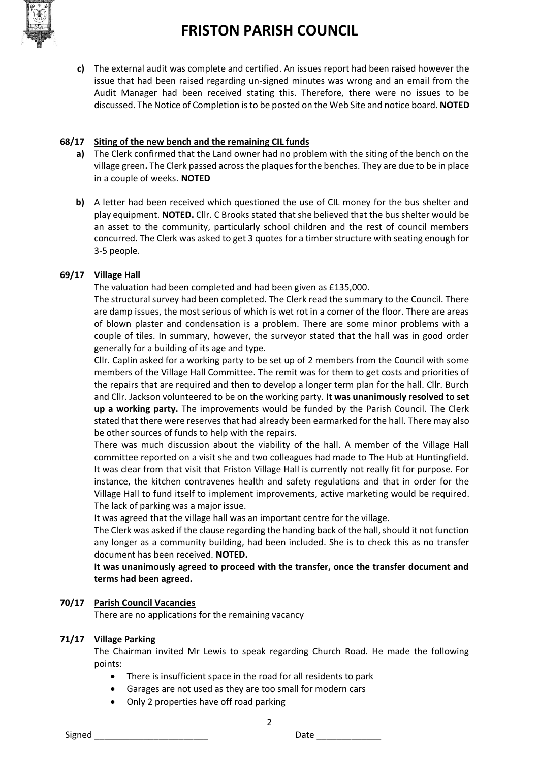

**c)** The external audit was complete and certified. An issues report had been raised however the issue that had been raised regarding un-signed minutes was wrong and an email from the Audit Manager had been received stating this. Therefore, there were no issues to be discussed. The Notice of Completion is to be posted on the Web Site and notice board. **NOTED**

## **68/17 Siting of the new bench and the remaining CIL funds**

- **a)** The Clerk confirmed that the Land owner had no problem with the siting of the bench on the village green**.** The Clerk passed across the plaques for the benches. They are due to be in place in a couple of weeks. **NOTED**
- **b)** A letter had been received which questioned the use of CIL money for the bus shelter and play equipment. **NOTED.** Cllr. C Brooks stated that she believed that the bus shelter would be an asset to the community, particularly school children and the rest of council members concurred. The Clerk was asked to get 3 quotes for a timber structure with seating enough for 3-5 people.

# **69/17 Village Hall**

The valuation had been completed and had been given as £135,000.

The structural survey had been completed. The Clerk read the summary to the Council. There are damp issues, the most serious of which is wet rot in a corner of the floor. There are areas of blown plaster and condensation is a problem. There are some minor problems with a couple of tiles. In summary, however, the surveyor stated that the hall was in good order generally for a building of its age and type.

Cllr. Caplin asked for a working party to be set up of 2 members from the Council with some members of the Village Hall Committee. The remit was for them to get costs and priorities of the repairs that are required and then to develop a longer term plan for the hall. Cllr. Burch and Cllr. Jackson volunteered to be on the working party. **It was unanimously resolved to set up a working party.** The improvements would be funded by the Parish Council. The Clerk stated that there were reserves that had already been earmarked for the hall. There may also be other sources of funds to help with the repairs.

There was much discussion about the viability of the hall. A member of the Village Hall committee reported on a visit she and two colleagues had made to The Hub at Huntingfield. It was clear from that visit that Friston Village Hall is currently not really fit for purpose. For instance, the kitchen contravenes health and safety regulations and that in order for the Village Hall to fund itself to implement improvements, active marketing would be required. The lack of parking was a major issue.

It was agreed that the village hall was an important centre for the village.

The Clerk was asked if the clause regarding the handing back of the hall, should it not function any longer as a community building, had been included. She is to check this as no transfer document has been received. **NOTED.**

**It was unanimously agreed to proceed with the transfer, once the transfer document and terms had been agreed.** 

#### **70/17 Parish Council Vacancies**

There are no applications for the remaining vacancy

#### **71/17 Village Parking**

The Chairman invited Mr Lewis to speak regarding Church Road. He made the following points:

2

- There is insufficient space in the road for all residents to park
- Garages are not used as they are too small for modern cars
- Only 2 properties have off road parking

Signed \_\_\_\_\_\_\_\_\_\_\_\_\_\_\_\_\_\_\_\_\_\_\_ Date \_\_\_\_\_\_\_\_\_\_\_\_\_